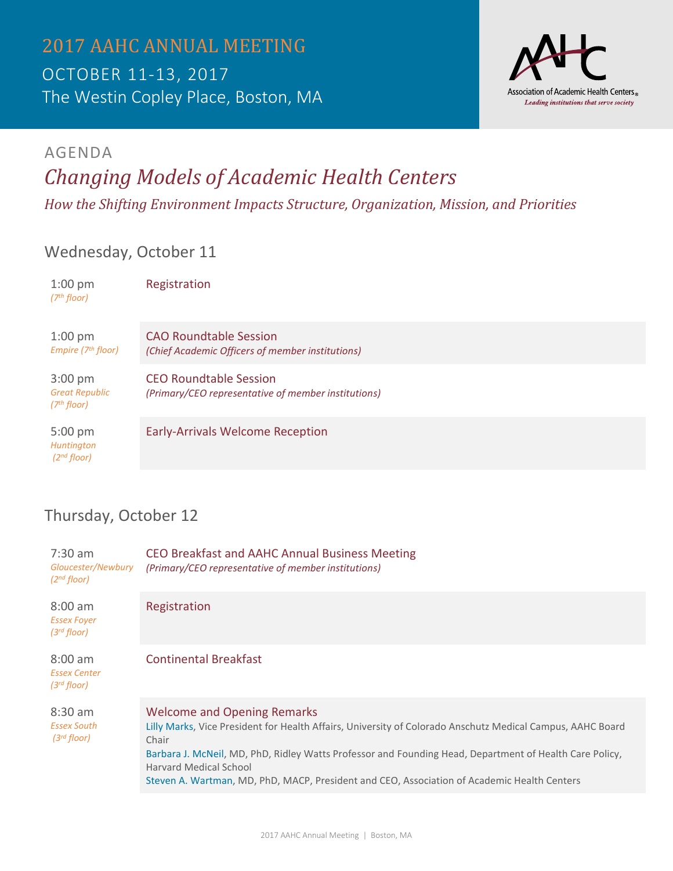

## AGENDA *Changing Models of Academic Health Centers*

*How the Shifting Environment Impacts Structure, Organization, Mission, and Priorities*

#### Wednesday, October 11

| $1:00 \text{ pm}$<br>(7 <sup>th</sup> floor)                          | Registration                                                                         |
|-----------------------------------------------------------------------|--------------------------------------------------------------------------------------|
| $1:00 \text{ pm}$<br>Empire ( $7th$ floor)                            | <b>CAO Roundtable Session</b><br>(Chief Academic Officers of member institutions)    |
| $3:00 \text{ pm}$<br><b>Great Republic</b><br>(7 <sup>th</sup> floor) | <b>CEO Roundtable Session</b><br>(Primary/CEO representative of member institutions) |
| $5:00 \text{ pm}$<br>Huntington<br>(2 <sup>nd</sup> floor)            | <b>Early-Arrivals Welcome Reception</b>                                              |

### Thursday, October 12

| $7:30$ am<br>Gloucester/Newbury<br>(2 <sup>nd</sup> floor)   | CEO Breakfast and AAHC Annual Business Meeting<br>(Primary/CEO representative of member institutions)                                                                                                                                                                                                                                                                                                |
|--------------------------------------------------------------|------------------------------------------------------------------------------------------------------------------------------------------------------------------------------------------------------------------------------------------------------------------------------------------------------------------------------------------------------------------------------------------------------|
| $8:00$ am<br><b>Essex Foyer</b><br>$(3^{rd}$ floor)          | Registration                                                                                                                                                                                                                                                                                                                                                                                         |
| $8:00 \text{ am}$<br><b>Essex Center</b><br>$(3^{rd}$ floor) | Continental Breakfast                                                                                                                                                                                                                                                                                                                                                                                |
| $8:30$ am<br><b>Essex South</b><br>$(3^{rd}$ floor)          | <b>Welcome and Opening Remarks</b><br>Lilly Marks, Vice President for Health Affairs, University of Colorado Anschutz Medical Campus, AAHC Board<br>Chair<br>Barbara J. McNeil, MD, PhD, Ridley Watts Professor and Founding Head, Department of Health Care Policy,<br><b>Harvard Medical School</b><br>Steven A. Wartman, MD, PhD, MACP, President and CEO, Association of Academic Health Centers |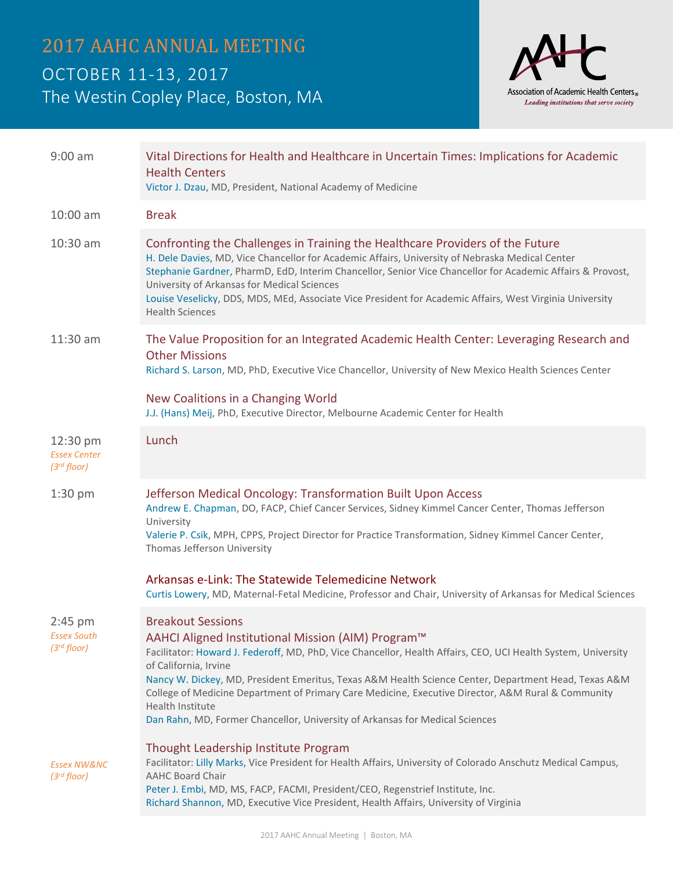# 2017 AAHC ANNUAL MEETING OCTOBER 11-13, 2017 The Westin Copley Place, Boston, MA



| $9:00$ am                                           | Vital Directions for Health and Healthcare in Uncertain Times: Implications for Academic<br><b>Health Centers</b><br>Victor J. Dzau, MD, President, National Academy of Medicine                                                                                                                                                                                                                                                                                                                                                           |
|-----------------------------------------------------|--------------------------------------------------------------------------------------------------------------------------------------------------------------------------------------------------------------------------------------------------------------------------------------------------------------------------------------------------------------------------------------------------------------------------------------------------------------------------------------------------------------------------------------------|
| 10:00 am                                            | <b>Break</b>                                                                                                                                                                                                                                                                                                                                                                                                                                                                                                                               |
| 10:30 am                                            | Confronting the Challenges in Training the Healthcare Providers of the Future<br>H. Dele Davies, MD, Vice Chancellor for Academic Affairs, University of Nebraska Medical Center<br>Stephanie Gardner, PharmD, EdD, Interim Chancellor, Senior Vice Chancellor for Academic Affairs & Provost,<br>University of Arkansas for Medical Sciences<br>Louise Veselicky, DDS, MDS, MEd, Associate Vice President for Academic Affairs, West Virginia University<br><b>Health Sciences</b>                                                        |
| 11:30 am                                            | The Value Proposition for an Integrated Academic Health Center: Leveraging Research and<br><b>Other Missions</b><br>Richard S. Larson, MD, PhD, Executive Vice Chancellor, University of New Mexico Health Sciences Center                                                                                                                                                                                                                                                                                                                 |
|                                                     | New Coalitions in a Changing World<br>J.J. (Hans) Meij, PhD, Executive Director, Melbourne Academic Center for Health                                                                                                                                                                                                                                                                                                                                                                                                                      |
| 12:30 pm<br><b>Essex Center</b><br>$(3^{rd}$ floor) | Lunch                                                                                                                                                                                                                                                                                                                                                                                                                                                                                                                                      |
| $1:30$ pm                                           | Jefferson Medical Oncology: Transformation Built Upon Access<br>Andrew E. Chapman, DO, FACP, Chief Cancer Services, Sidney Kimmel Cancer Center, Thomas Jefferson<br>University<br>Valerie P. Csik, MPH, CPPS, Project Director for Practice Transformation, Sidney Kimmel Cancer Center,<br>Thomas Jefferson University                                                                                                                                                                                                                   |
|                                                     | Arkansas e-Link: The Statewide Telemedicine Network<br>Curtis Lowery, MD, Maternal-Fetal Medicine, Professor and Chair, University of Arkansas for Medical Sciences                                                                                                                                                                                                                                                                                                                                                                        |
| $2:45$ pm<br>Essex South<br>$(3^{rd}$ floor)        | <b>Breakout Sessions</b><br>AAHCI Aligned Institutional Mission (AIM) Program™<br>Facilitator: Howard J. Federoff, MD, PhD, Vice Chancellor, Health Affairs, CEO, UCI Health System, University<br>of California, Irvine<br>Nancy W. Dickey, MD, President Emeritus, Texas A&M Health Science Center, Department Head, Texas A&M<br>College of Medicine Department of Primary Care Medicine, Executive Director, A&M Rural & Community<br>Health Institute<br>Dan Rahn, MD, Former Chancellor, University of Arkansas for Medical Sciences |
| <b>Essex NW&amp;NC</b><br>$(3^{rd}$ floor)          | Thought Leadership Institute Program<br>Facilitator: Lilly Marks, Vice President for Health Affairs, University of Colorado Anschutz Medical Campus,<br><b>AAHC Board Chair</b><br>Peter J. Embi, MD, MS, FACP, FACMI, President/CEO, Regenstrief Institute, Inc.<br>Richard Shannon, MD, Executive Vice President, Health Affairs, University of Virginia                                                                                                                                                                                 |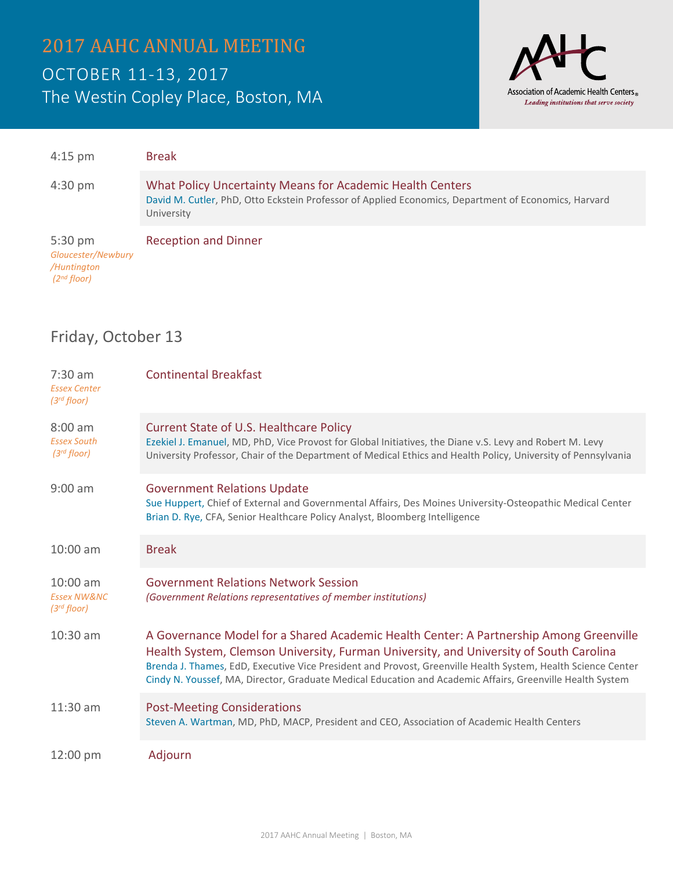

| $4:15$ pm                                                                  | <b>Break</b>                                                                                                                                                                    |
|----------------------------------------------------------------------------|---------------------------------------------------------------------------------------------------------------------------------------------------------------------------------|
| $4:30 \text{ pm}$                                                          | What Policy Uncertainty Means for Academic Health Centers<br>David M. Cutler, PhD, Otto Eckstein Professor of Applied Economics, Department of Economics, Harvard<br>University |
| $5:30 \text{ pm}$<br>Gloucester/Newbury<br>/Huntington<br>$(2^{nd}$ floor) | <b>Reception and Dinner</b>                                                                                                                                                     |

### Friday, October 13

| $7:30$ am<br><b>Essex Center</b><br>$(3^{rd}$ floor)     | <b>Continental Breakfast</b>                                                                                                                                                                                                                                                                                                                                                                                  |
|----------------------------------------------------------|---------------------------------------------------------------------------------------------------------------------------------------------------------------------------------------------------------------------------------------------------------------------------------------------------------------------------------------------------------------------------------------------------------------|
| $8:00$ am<br><b>Essex South</b><br>$(3^{rd}$ floor)      | Current State of U.S. Healthcare Policy<br>Ezekiel J. Emanuel, MD, PhD, Vice Provost for Global Initiatives, the Diane v.S. Levy and Robert M. Levy<br>University Professor, Chair of the Department of Medical Ethics and Health Policy, University of Pennsylvania                                                                                                                                          |
| $9:00$ am                                                | <b>Government Relations Update</b><br>Sue Huppert, Chief of External and Governmental Affairs, Des Moines University-Osteopathic Medical Center<br>Brian D. Rye, CFA, Senior Healthcare Policy Analyst, Bloomberg Intelligence                                                                                                                                                                                |
| $10:00$ am                                               | <b>Break</b>                                                                                                                                                                                                                                                                                                                                                                                                  |
| $10:00$ am<br><b>Essex NW&amp;NC</b><br>$(3^{rd}$ floor) | <b>Government Relations Network Session</b><br>(Government Relations representatives of member institutions)                                                                                                                                                                                                                                                                                                  |
| 10:30 am                                                 | A Governance Model for a Shared Academic Health Center: A Partnership Among Greenville<br>Health System, Clemson University, Furman University, and University of South Carolina<br>Brenda J. Thames, EdD, Executive Vice President and Provost, Greenville Health System, Health Science Center<br>Cindy N. Youssef, MA, Director, Graduate Medical Education and Academic Affairs, Greenville Health System |
| $11:30$ am                                               | <b>Post-Meeting Considerations</b><br>Steven A. Wartman, MD, PhD, MACP, President and CEO, Association of Academic Health Centers                                                                                                                                                                                                                                                                             |
| $12:00 \text{ pm}$                                       | Adjourn                                                                                                                                                                                                                                                                                                                                                                                                       |